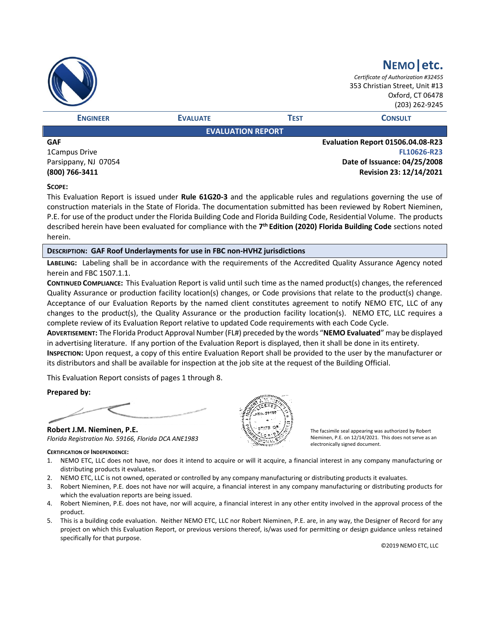|                 |                          |             | NEMO etc.<br>Certificate of Authorization #32455<br>353 Christian Street, Unit #13<br>Oxford, CT 06478<br>(203) 262-9245 |
|-----------------|--------------------------|-------------|--------------------------------------------------------------------------------------------------------------------------|
| <b>ENGINEER</b> | <b>EVALUATE</b>          | <b>TEST</b> | <b>CONSULT</b>                                                                                                           |
|                 | <b>EVALUATION REPORT</b> |             |                                                                                                                          |
| <b>GAF</b>      |                          |             | Evaluation Report 01506.04.08-R23                                                                                        |

1Campus Drive Parsippany, NJ 07054 **(800) 766-3411**

**FL10626-R23 Date of Issuance: 04/25/2008 Revision 23: 12/14/2021**

## **SCOPE:**

This Evaluation Report is issued under **Rule 61G20-3** and the applicable rules and regulations governing the use of construction materials in the State of Florida. The documentation submitted has been reviewed by Robert Nieminen, P.E. for use of the product under the Florida Building Code and Florida Building Code, Residential Volume. The products described herein have been evaluated for compliance with the **7 th Edition (2020) Florida Building Code** sections noted herein.

## **DESCRIPTION: GAF Roof Underlayments for use in FBC non-HVHZ jurisdictions**

**LABELING:** Labeling shall be in accordance with the requirements of the Accredited Quality Assurance Agency noted herein and FBC 1507.1.1.

**CONTINUED COMPLIANCE:** This Evaluation Report is valid until such time as the named product(s) changes, the referenced Quality Assurance or production facility location(s) changes, or Code provisions that relate to the product(s) change. Acceptance of our Evaluation Reports by the named client constitutes agreement to notify NEMO ETC, LLC of any changes to the product(s), the Quality Assurance or the production facility location(s). NEMO ETC, LLC requires a complete review of its Evaluation Report relative to updated Code requirements with each Code Cycle.

**ADVERTISEMENT:** The Florida Product Approval Number (FL#) preceded by the words "**NEMO Evaluated**" may be displayed in advertising literature. If any portion of the Evaluation Report is displayed, then it shall be done in its entirety.

**INSPECTION:** Upon request, a copy of this entire Evaluation Report shall be provided to the user by the manufacturer or its distributors and shall be available for inspection at the job site at the request of the Building Official.

This Evaluation Report consists of pages 1 through 8.

**Prepared by:**

**Robert J.M. Nieminen, P.E.** *Florida Registration No. 59166, Florida DCA ANE1983*

#### **CERTIFICATION OF INDEPENDENCE:**



The facsimile seal appearing was authorized by Robert Nieminen, P.E. on 12/14/2021. This does not serve as an electronically signed document.

- 1. NEMO ETC, LLC does not have, nor does it intend to acquire or will it acquire, a financial interest in any company manufacturing or distributing products it evaluates.
- 2. NEMO ETC, LLC is not owned, operated or controlled by any company manufacturing or distributing products it evaluates.
- 3. Robert Nieminen, P.E. does not have nor will acquire, a financial interest in any company manufacturing or distributing products for which the evaluation reports are being issued.
- 4. Robert Nieminen, P.E. does not have, nor will acquire, a financial interest in any other entity involved in the approval process of the product.
- 5. This is a building code evaluation. Neither NEMO ETC, LLC nor Robert Nieminen, P.E. are, in any way, the Designer of Record for any project on which this Evaluation Report, or previous versions thereof, is/was used for permitting or design guidance unless retained specifically for that purpose.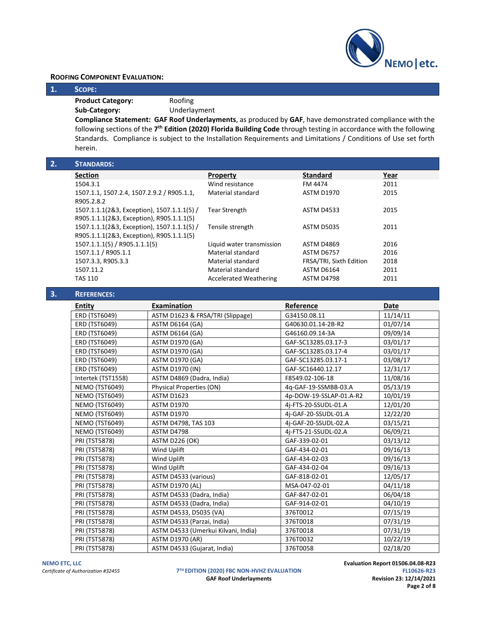

## **ROOFING COMPONENT EVALUATION:**

**1. SCOPE:**

**Product Category:** Roofing

**Sub-Category:** Underlayment

**Compliance Statement: GAF Roof Underlayments**, as produced by **GAF**, have demonstrated compliance with the following sections of the 7<sup>th</sup> Edition (2020) Florida Building Code through testing in accordance with the following Standards. Compliance is subject to the Installation Requirements and Limitations / Conditions of Use set forth herein.

| 2. | <b>STANDARDS:</b>                           |                               |                         |      |
|----|---------------------------------------------|-------------------------------|-------------------------|------|
|    | <b>Section</b>                              | <b>Property</b>               | <b>Standard</b>         | Year |
|    | 1504.3.1                                    | Wind resistance               | FM 4474                 | 2011 |
|    | 1507.1.1, 1507.2.4, 1507.2.9.2 / R905.1.1,  | Material standard             | <b>ASTM D1970</b>       | 2015 |
|    | R905.2.8.2                                  |                               |                         |      |
|    | 1507.1.1.1(2&3, Exception), 1507.1.1.1(5) / | <b>Tear Strength</b>          | <b>ASTM D4533</b>       | 2015 |
|    | R905.1.1.1(2&3, Exception), R905.1.1.1(5)   |                               |                         |      |
|    | 1507.1.1.1(2&3, Exception), 1507.1.1.1(5) / | Tensile strength              | <b>ASTM D5035</b>       | 2011 |
|    | R905.1.1.1(2&3, Exception), R905.1.1.1(5)   |                               |                         |      |
|    | 1507.1.1.1(5) / R905.1.1.1(5)               | Liquid water transmission     | ASTM D4869              | 2016 |
|    | 1507.1.1 / R905.1.1                         | Material standard             | ASTM D6757              | 2016 |
|    | 1507.3.3, R905.3.3                          | Material standard             | FRSA/TRI, Sixth Edition | 2018 |
|    | 1507.11.2                                   | Material standard             | ASTM D6164              | 2011 |
|    | <b>TAS 110</b>                              | <b>Accelerated Weathering</b> | ASTM D4798              | 2011 |

| 3. | <b>REFERENCES:</b>    |                                     |                         |          |
|----|-----------------------|-------------------------------------|-------------------------|----------|
|    | <b>Entity</b>         | <b>Examination</b>                  | Reference               | Date     |
|    | <b>ERD (TST6049)</b>  | ASTM D1623 & FRSA/TRI (Slippage)    | G34150.08.11            | 11/14/11 |
|    | ERD (TST6049)         | <b>ASTM D6164 (GA)</b>              | G40630.01.14-2B-R2      | 01/07/14 |
|    | ERD (TST6049)         | <b>ASTM D6164 (GA)</b>              | G46160.09.14-3A         | 09/09/14 |
|    | ERD (TST6049)         | <b>ASTM D1970 (GA)</b>              | GAF-SC13285.03.17-3     | 03/01/17 |
|    | <b>ERD (TST6049)</b>  | <b>ASTM D1970 (GA)</b>              | GAF-SC13285.03.17-4     | 03/01/17 |
|    | <b>ERD (TST6049)</b>  | <b>ASTM D1970 (GA)</b>              | GAF-SC13285.03.17-1     | 03/08/17 |
|    | <b>ERD (TST6049)</b>  | <b>ASTM D1970 (IN)</b>              | GAF-SC16440.12.17       | 12/31/17 |
|    | Intertek (TST1558)    | ASTM D4869 (Dadra, India)           | F8549.02-106-18         | 11/08/16 |
|    | <b>NEMO (TST6049)</b> | Physical Properties (ON)            | 4q-GAF-19-SSMBB-03.A    | 05/13/19 |
|    | <b>NEMO (TST6049)</b> | <b>ASTM D1623</b>                   | 4p-DOW-19-SSLAP-01.A-R2 | 10/01/19 |
|    | <b>NEMO (TST6049)</b> | <b>ASTM D1970</b>                   | 4j-FTS-20-SSUDL-01.A    | 12/01/20 |
|    | <b>NEMO (TST6049)</b> | <b>ASTM D1970</b>                   | 4j-GAF-20-SSUDL-01.A    | 12/22/20 |
|    | <b>NEMO (TST6049)</b> | ASTM D4798, TAS 103                 | 4j-GAF-20-SSUDL-02.A    | 03/15/21 |
|    | <b>NEMO (TST6049)</b> | ASTM D4798                          | 4j-FTS-21-SSUDL-02.A    | 06/09/21 |
|    | PRI (TST5878)         | <b>ASTM D226 (OK)</b>               | GAF-339-02-01           | 03/13/12 |
|    | <b>PRI (TST5878)</b>  | Wind Uplift                         | GAF-434-02-01           | 09/16/13 |
|    | PRI (TST5878)         | Wind Uplift                         | GAF-434-02-03           | 09/16/13 |
|    | PRI (TST5878)         | Wind Uplift                         | GAF-434-02-04           | 09/16/13 |
|    | <b>PRI (TST5878)</b>  | ASTM D4533 (various)                | GAF-818-02-01           | 12/05/17 |
|    | PRI (TST5878)         | <b>ASTM D1970 (AL)</b>              | MSA-047-02-01           | 04/11/18 |
|    | PRI (TST5878)         | ASTM D4533 (Dadra, India)           | GAF-847-02-01           | 06/04/18 |
|    | PRI (TST5878)         | ASTM D4533 (Dadra, India)           | GAF-914-02-01           | 04/10/19 |
|    | <b>PRI (TST5878)</b>  | ASTM D4533, D5035 (VA)              | 376T0012                | 07/15/19 |
|    | <b>PRI (TST5878)</b>  | ASTM D4533 (Parzai, India)          | 376T0018                | 07/31/19 |
|    | PRI (TST5878)         | ASTM D4533 (Umerkui Kilvani, India) | 376T0018                | 07/31/19 |
|    | PRI (TST5878)         | <b>ASTM D1970 (AR)</b>              | 376T0032                | 10/22/19 |
|    | PRI (TST5878)         | ASTM D4533 (Gujarat, India)         | 376T0058                | 02/18/20 |

*Certificate of Authorization #32455* **7**

**TH EDITION (2020) FBC NON-HVHZ EVALUATION FL10626-R23 GAF Roof Underlayments** 

**NEMO ETC, LLC**<br>**Evaluation Report 01506.04.08-R23 Certificate of Authorization #32455 Certificate of Authorization #32455 FL10626-R23 Page 2 of 8**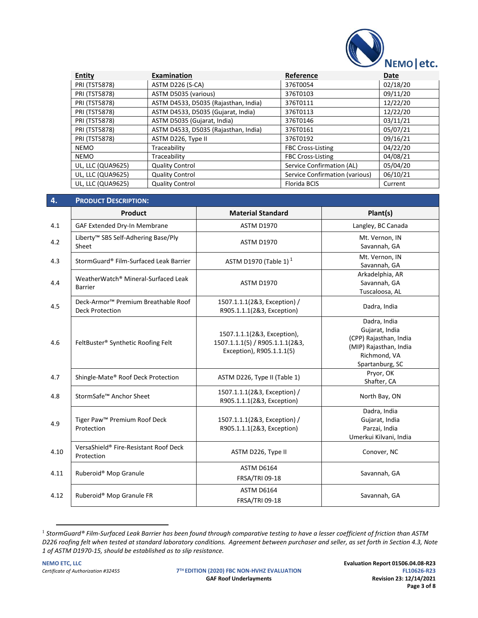

| <b>Entity</b>        | Examination                          | Reference                      | Date     |
|----------------------|--------------------------------------|--------------------------------|----------|
| <b>PRI (TST5878)</b> | ASTM D226 (S-CA)                     | 376T0054                       | 02/18/20 |
| <b>PRI (TST5878)</b> | ASTM D5035 (various)                 | 376T0103                       | 09/11/20 |
| <b>PRI (TST5878)</b> | ASTM D4533, D5035 (Rajasthan, India) | 376T0111                       | 12/22/20 |
| <b>PRI (TST5878)</b> | ASTM D4533, D5035 (Gujarat, India)   | 376T0113                       | 12/22/20 |
| <b>PRI (TST5878)</b> | ASTM D5035 (Gujarat, India)          | 376T0146                       | 03/11/21 |
| <b>PRI (TST5878)</b> | ASTM D4533, D5035 (Rajasthan, India) | 376T0161                       | 05/07/21 |
| <b>PRI (TST5878)</b> | ASTM D226, Type II                   | 376T0192                       | 09/16/21 |
| <b>NEMO</b>          | Traceability                         | <b>FBC Cross-Listing</b>       | 04/22/20 |
| <b>NEMO</b>          | Traceability                         | <b>FBC Cross-Listing</b>       | 04/08/21 |
| UL, LLC (QUA9625)    | <b>Quality Control</b>               | Service Confirmation (AL)      | 05/04/20 |
| UL, LLC (QUA9625)    | <b>Quality Control</b>               | Service Confirmation (various) | 06/10/21 |
| UL, LLC (QUA9625)    | <b>Quality Control</b>               | Florida BCIS                   | Current  |

| 4.   | <b>PRODUCT DESCRIPTION:</b>                                               |                                                                                             |                                                                                                                       |
|------|---------------------------------------------------------------------------|---------------------------------------------------------------------------------------------|-----------------------------------------------------------------------------------------------------------------------|
|      | Product                                                                   | <b>Material Standard</b>                                                                    | Plant(s)                                                                                                              |
| 4.1  | GAF Extended Dry-In Membrane                                              | <b>ASTM D1970</b>                                                                           | Langley, BC Canada                                                                                                    |
| 4.2  | Liberty™ SBS Self-Adhering Base/Ply<br>Sheet                              | <b>ASTM D1970</b>                                                                           | Mt. Vernon, IN<br>Savannah, GA                                                                                        |
| 4.3  | StormGuard® Film-Surfaced Leak Barrier                                    | ASTM D1970 (Table 1) <sup>1</sup>                                                           | Mt. Vernon, IN<br>Savannah, GA                                                                                        |
| 4.4  | WeatherWatch® Mineral-Surfaced Leak<br><b>Barrier</b>                     | <b>ASTM D1970</b>                                                                           | Arkadelphia, AR<br>Savannah, GA<br>Tuscaloosa, AL                                                                     |
| 4.5  | Deck-Armor <sup>™</sup> Premium Breathable Roof<br><b>Deck Protection</b> | 1507.1.1.1(2&3, Exception) /<br>R905.1.1.1(2&3, Exception)                                  | Dadra, India                                                                                                          |
| 4.6  | FeltBuster® Synthetic Roofing Felt                                        | 1507.1.1.1(2&3, Exception),<br>1507.1.1.1(5) / R905.1.1.1(2&3,<br>Exception), R905.1.1.1(5) | Dadra, India<br>Gujarat, India<br>(CPP) Rajasthan, India<br>(MIP) Rajasthan, India<br>Richmond, VA<br>Spartanburg, SC |
| 4.7  | Shingle-Mate® Roof Deck Protection                                        | ASTM D226, Type II (Table 1)                                                                | Pryor, OK<br>Shafter, CA                                                                                              |
| 4.8  | StormSafe™ Anchor Sheet                                                   | 1507.1.1.1(2&3, Exception) /<br>R905.1.1.1(2&3, Exception)                                  | North Bay, ON                                                                                                         |
| 4.9  | Tiger Paw <sup>™</sup> Premium Roof Deck<br>Protection                    | 1507.1.1.1(2&3, Exception) /<br>R905.1.1.1(2&3, Exception)                                  | Dadra, India<br>Gujarat, India<br>Parzai, India<br>Umerkui Kilvani, India                                             |
| 4.10 | VersaShield® Fire-Resistant Roof Deck<br>Protection                       | ASTM D226, Type II                                                                          | Conover, NC                                                                                                           |
| 4.11 | Ruberoid® Mop Granule                                                     | <b>ASTM D6164</b><br>FRSA/TRI 09-18                                                         | Savannah, GA                                                                                                          |
| 4.12 | Ruberoid® Mop Granule FR                                                  | <b>ASTM D6164</b><br>FRSA/TRI 09-18                                                         | Savannah, GA                                                                                                          |

<sup>1</sup> *StormGuard® Film-Surfaced Leak Barrier has been found through comparative testing to have a lesser coefficient of friction than ASTM D226 roofing felt when tested at standard laboratory conditions. Agreement between purchaser and seller, as set forth in Section 4.3, Note 1 of ASTM D1970-15, should be established as to slip resistance.*

**TH EDITION (2020) FBC NON-HVHZ EVALUATION FL10626-R23 GAF Roof Underlayments** 

**NEMO ETC, LLC**<br>**Evaluation Report 01506.04.08-R23 Evaluation Report 01506.04.08-R23**<br>**EL10626-R23 EL10626-R23 Page 3 of 8**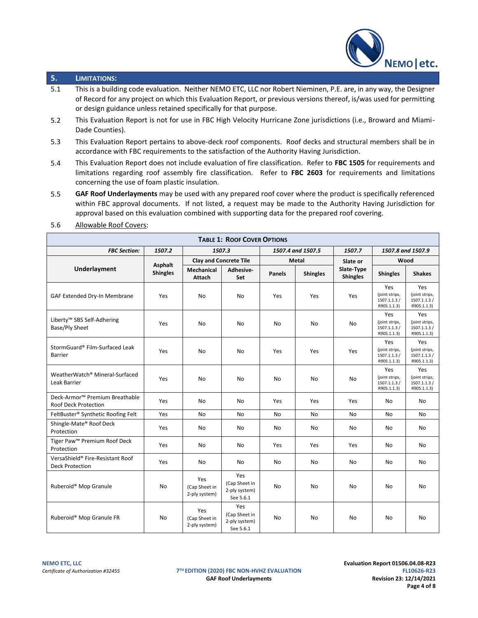

# **5. LIMITATIONS:**

- 5.1 This is a building code evaluation. Neither NEMO ETC, LLC nor Robert Nieminen, P.E. are, in any way, the Designer of Record for any project on which this Evaluation Report, or previous versions thereof, is/was used for permitting or design guidance unless retained specifically for that purpose.
- 5.2 This Evaluation Report is not for use in FBC High Velocity Hurricane Zone jurisdictions (i.e., Broward and Miami-Dade Counties).
- 5.3 This Evaluation Report pertains to above-deck roof components. Roof decks and structural members shall be in accordance with FBC requirements to the satisfaction of the Authority Having Jurisdiction.
- 5.4 This Evaluation Report does not include evaluation of fire classification. Refer to **FBC 1505** for requirements and limitations regarding roof assembly fire classification. Refer to **FBC 2603** for requirements and limitations concerning the use of foam plastic insulation.
- 5.5 **GAF Roof Underlayments** may be used with any prepared roof cover where the product is specifically referenced within FBC approval documents. If not listed, a request may be made to the Authority Having Jurisdiction for approval based on this evaluation combined with supporting data for the prepared roof covering.

| <b>TABLE 1: ROOF COVER OPTIONS</b>                                        |                            |                                       |                                                    |               |                   |                               |                                                      |                                                     |
|---------------------------------------------------------------------------|----------------------------|---------------------------------------|----------------------------------------------------|---------------|-------------------|-------------------------------|------------------------------------------------------|-----------------------------------------------------|
| <b>FBC Section:</b>                                                       | 1507.2                     |                                       | 1507.3                                             |               | 1507.4 and 1507.5 | 1507.7                        |                                                      | 1507.8 and 1507.9                                   |
|                                                                           |                            |                                       | <b>Clay and Concrete Tile</b>                      |               | <b>Metal</b>      | Slate or                      | Wood                                                 |                                                     |
| Underlayment                                                              | Asphalt<br><b>Shingles</b> | Mechanical<br>Attach                  | Adhesive-<br>Set                                   | <b>Panels</b> | <b>Shingles</b>   | Slate-Type<br><b>Shingles</b> | <b>Shingles</b>                                      | <b>Shakes</b>                                       |
| GAF Extended Dry-In Membrane                                              | Yes                        | No                                    | No                                                 | Yes           | Yes               | Yes                           | Yes<br>(joint strips,<br>1507.1.1.3 /<br>R905.1.1.3) | Yes<br>(joint strips,<br>1507.1.1.3/<br>R905.1.1.3) |
| Liberty <sup>™</sup> SBS Self-Adhering<br>Base/Ply Sheet                  | Yes                        | <b>No</b>                             | <b>No</b>                                          | No            | <b>No</b>         | No                            | Yes<br>(joint strips,<br>1507.1.1.3 /<br>R905.1.1.3) | Yes<br>(joint strips,<br>1507.1.1.3/<br>R905.1.1.3) |
| StormGuard® Film-Surfaced Leak<br><b>Barrier</b>                          | Yes                        | <b>No</b>                             | No                                                 | Yes           | Yes               | Yes                           | Yes<br>(joint strips,<br>1507.1.1.3/<br>R905.1.1.3)  | Yes<br>(joint strips,<br>1507.1.1.3/<br>R905.1.1.3) |
| WeatherWatch® Mineral-Surfaced<br>Leak Barrier                            | Yes                        | <b>No</b>                             | <b>No</b>                                          | No            | No                | No                            | Yes<br>(joint strips,<br>1507.1.1.3/<br>R905.1.1.3)  | Yes<br>(joint strips,<br>1507.1.1.3/<br>R905.1.1.3) |
| Deck-Armor <sup>™</sup> Premium Breathable<br><b>Roof Deck Protection</b> | Yes                        | No                                    | No                                                 | Yes           | Yes               | Yes                           | No                                                   | No                                                  |
| FeltBuster® Synthetic Roofing Felt                                        | Yes                        | No                                    | No                                                 | No            | No                | No                            | No                                                   | No                                                  |
| Shingle-Mate® Roof Deck<br>Protection                                     | Yes                        | No                                    | No                                                 | No            | No                | No                            | No                                                   | No                                                  |
| Tiger Paw <sup>™</sup> Premium Roof Deck<br>Protection                    | Yes                        | No                                    | No                                                 | Yes           | Yes               | Yes                           | No                                                   | No                                                  |
| VersaShield® Fire-Resistant Roof<br><b>Deck Protection</b>                | Yes                        | No                                    | No                                                 | No            | No                | No                            | No                                                   | No                                                  |
| Ruberoid® Mop Granule                                                     | No.                        | Yes<br>(Cap Sheet in<br>2-ply system) | Yes<br>(Cap Sheet in<br>2-ply system)<br>See 5.6.1 | No            | N <sub>o</sub>    | No                            | No                                                   | <b>No</b>                                           |
| Ruberoid® Mop Granule FR                                                  | No                         | Yes<br>(Cap Sheet in<br>2-ply system) | Yes<br>(Cap Sheet in<br>2-ply system)<br>See 5.6.1 | No            | <b>No</b>         | <b>No</b>                     | No                                                   | No                                                  |

5.6 Allowable Roof Covers:

**TH EDITION (2020) FBC NON-HVHZ EVALUATION FL10626-R23** GAF Roof Underlayments **Revision 23: 12/14/2021**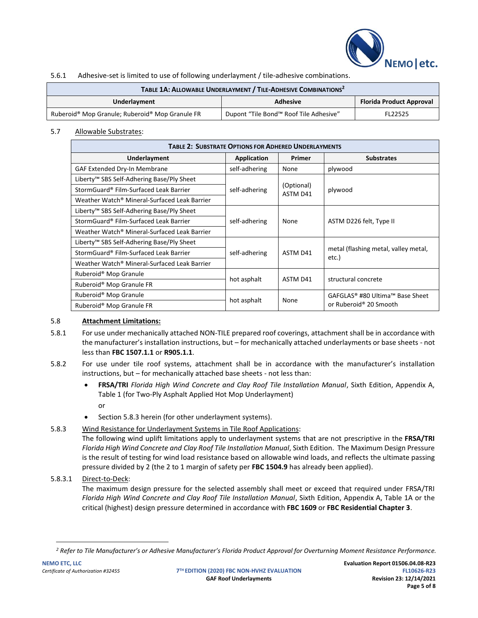

## 5.6.1 Adhesive-set is limited to use of following underlayment / tile-adhesive combinations.

| TABLE 1A: ALLOWABLE UNDERLAYMENT / TILE-ADHESIVE COMBINATIONS <sup>2</sup> |                                        |         |  |
|----------------------------------------------------------------------------|----------------------------------------|---------|--|
| <b>Florida Product Approval</b><br>Underlayment<br><b>Adhesive</b>         |                                        |         |  |
| Ruberoid® Mop Granule; Ruberoid® Mop Granule FR                            | Dupont "Tile Bond™ Roof Tile Adhesive" | FL22525 |  |

## 5.7 Allowable Substrates:

| <b>TABLE 2: SUBSTRATE OPTIONS FOR ADHERED UNDERLAYMENTS</b> |                         |                        |                                               |  |
|-------------------------------------------------------------|-------------------------|------------------------|-----------------------------------------------|--|
| Underlayment                                                | Application             | Primer                 | <b>Substrates</b>                             |  |
| GAF Extended Dry-In Membrane                                | self-adhering           | None                   | plywood                                       |  |
| Liberty <sup>™</sup> SBS Self-Adhering Base/Ply Sheet       |                         |                        |                                               |  |
| StormGuard® Film-Surfaced Leak Barrier                      | self-adhering           | (Optional)<br>ASTM D41 | plywood                                       |  |
| Weather Watch® Mineral-Surfaced Leak Barrier                |                         |                        |                                               |  |
| Liberty <sup>™</sup> SBS Self-Adhering Base/Ply Sheet       |                         |                        |                                               |  |
| StormGuard® Film-Surfaced Leak Barrier                      | self-adhering           | None                   | ASTM D226 felt, Type II                       |  |
| Weather Watch® Mineral-Surfaced Leak Barrier                |                         |                        |                                               |  |
| Liberty <sup>™</sup> SBS Self-Adhering Base/Ply Sheet       |                         | ASTM D41               |                                               |  |
| StormGuard® Film-Surfaced Leak Barrier                      | self-adhering           |                        | metal (flashing metal, valley metal,<br>etc.) |  |
| Weather Watch® Mineral-Surfaced Leak Barrier                |                         |                        |                                               |  |
| Ruberoid <sup>®</sup> Mop Granule                           |                         |                        | structural concrete                           |  |
| Ruberoid <sup>®</sup> Mop Granule FR                        | hot asphalt<br>ASTM D41 |                        |                                               |  |
| Ruberoid® Mop Granule                                       |                         |                        | GAFGLAS <sup>®</sup> #80 Ultima™ Base Sheet   |  |
| Ruberoid <sup>®</sup> Mop Granule FR                        | hot asphalt             | None                   | or Ruberoid® 20 Smooth                        |  |

## 5.8 **Attachment Limitations:**

- 5.8.1 For use under mechanically attached NON-TILE prepared roof coverings, attachment shall be in accordance with the manufacturer's installation instructions, but – for mechanically attached underlayments or base sheets - not less than **FBC 1507.1.1** or **R905.1.1**.
- 5.8.2 For use under tile roof systems, attachment shall be in accordance with the manufacturer's installation instructions, but – for mechanically attached base sheets - not less than:
	- **FRSA/TRI** *Florida High Wind Concrete and Clay Roof Tile Installation Manual*, Sixth Edition, Appendix A, Table 1 (for Two-Ply Asphalt Applied Hot Mop Underlayment) or
	- Section 5.8.3 herein (for other underlayment systems).
- 5.8.3 Wind Resistance for Underlayment Systems in Tile Roof Applications:

The following wind uplift limitations apply to underlayment systems that are not prescriptive in the **FRSA/TRI** *Florida High Wind Concrete and Clay Roof Tile Installation Manual*, Sixth Edition. The Maximum Design Pressure is the result of testing for wind load resistance based on allowable wind loads, and reflects the ultimate passing pressure divided by 2 (the 2 to 1 margin of safety per **FBC 1504.9** has already been applied).

## 5.8.3.1 Direct-to-Deck:

The maximum design pressure for the selected assembly shall meet or exceed that required under FRSA/TRI *Florida High Wind Concrete and Clay Roof Tile Installation Manual*, Sixth Edition, Appendix A, Table 1A or the critical (highest) design pressure determined in accordance with **FBC 1609** or **FBC Residential Chapter 3**.

*<sup>2</sup> Refer to Tile Manufacturer's or Adhesive Manufacturer's Florida Product Approval for Overturning Moment Resistance Performance.*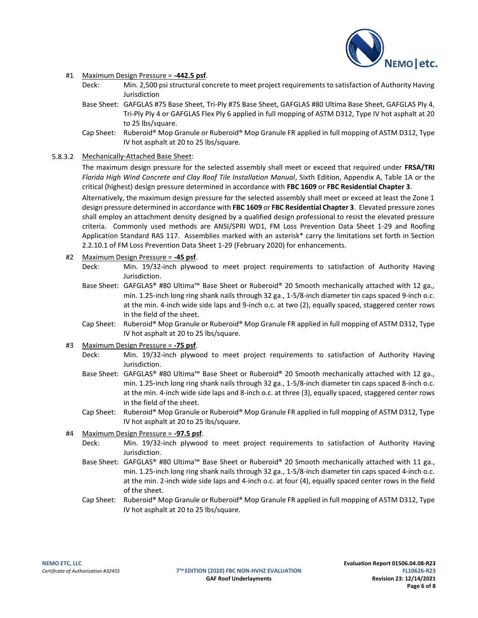

### #1 Maximum Design Pressure = **-442.5 psf**.

- Deck: Min. 2,500 psi structural concrete to meet project requirements to satisfaction of Authority Having Jurisdiction
- Base Sheet: GAFGLAS #75 Base Sheet, Tri-Ply #75 Base Sheet, GAFGLAS #80 Ultima Base Sheet, GAFGLAS Ply 4, Tri-Ply Ply 4 or GAFGLAS Flex Ply 6 applied in full mopping of ASTM D312, Type IV hot asphalt at 20 to 25 lbs/square.
- Cap Sheet: Ruberoid® Mop Granule or Ruberoid® Mop Granule FR applied in full mopping of ASTM D312, Type IV hot asphalt at 20 to 25 lbs/square.

## 5.8.3.2 Mechanically-Attached Base Sheet:

The maximum design pressure for the selected assembly shall meet or exceed that required under **FRSA/TRI** *Florida High Wind Concrete and Clay Roof Tile Installation Manual*, Sixth Edition, Appendix A, Table 1A or the critical (highest) design pressure determined in accordance with **FBC 1609** or **FBC Residential Chapter 3**.

Alternatively, the maximum design pressure for the selected assembly shall meet or exceed at least the Zone 1 design pressure determined in accordance with **FBC 1609** or **FBC Residential Chapter 3**. Elevated pressure zones shall employ an attachment density designed by a qualified design professional to resist the elevated pressure criteria. Commonly used methods are ANSI/SPRI WD1, FM Loss Prevention Data Sheet 1-29 and Roofing Application Standard RAS 117. Assemblies marked with an asterisk\* carry the limitations set forth in Section 2.2.10.1 of FM Loss Prevention Data Sheet 1-29 (February 2020) for enhancements.

## #2 Maximum Design Pressure = **-45 psf**.

- Deck: Min. 19/32-inch plywood to meet project requirements to satisfaction of Authority Having Jurisdiction.
- Base Sheet: GAFGLAS® #80 Ultima™ Base Sheet or Ruberoid® 20 Smooth mechanically attached with 12 ga., min. 1.25-inch long ring shank nails through 32 ga., 1-5/8-inch diameter tin caps spaced 9-inch o.c. at the min. 4-inch wide side laps and 9-inch o.c. at two (2), equally spaced, staggered center rows in the field of the sheet.
- Cap Sheet: Ruberoid® Mop Granule or Ruberoid® Mop Granule FR applied in full mopping of ASTM D312, Type IV hot asphalt at 20 to 25 lbs/square.

## #3 Maximum Design Pressure = **-75 psf**.

- Deck: Min. 19/32-inch plywood to meet project requirements to satisfaction of Authority Having Jurisdiction.
- Base Sheet: GAFGLAS® #80 Ultima™ Base Sheet or Ruberoid® 20 Smooth mechanically attached with 12 ga., min. 1.25-inch long ring shank nails through 32 ga., 1-5/8-inch diameter tin caps spaced 8-inch o.c. at the min. 4-inch wide side laps and 8-inch o.c. at three (3), equally spaced, staggered center rows in the field of the sheet.
- Cap Sheet: Ruberoid® Mop Granule or Ruberoid® Mop Granule FR applied in full mopping of ASTM D312, Type IV hot asphalt at 20 to 25 lbs/square.

## #4 Maximum Design Pressure = **-97.5 psf**.

- Deck: Min. 19/32-inch plywood to meet project requirements to satisfaction of Authority Having Jurisdiction.
- Base Sheet: GAFGLAS® #80 Ultima™ Base Sheet or Ruberoid® 20 Smooth mechanically attached with 11 ga., min. 1.25-inch long ring shank nails through 32 ga., 1-5/8-inch diameter tin caps spaced 4-inch o.c. at the min. 2-inch wide side laps and 4-inch o.c. at four (4), equally spaced center rows in the field of the sheet.
- Cap Sheet: Ruberoid® Mop Granule or Ruberoid® Mop Granule FR applied in full mopping of ASTM D312, Type IV hot asphalt at 20 to 25 lbs/square.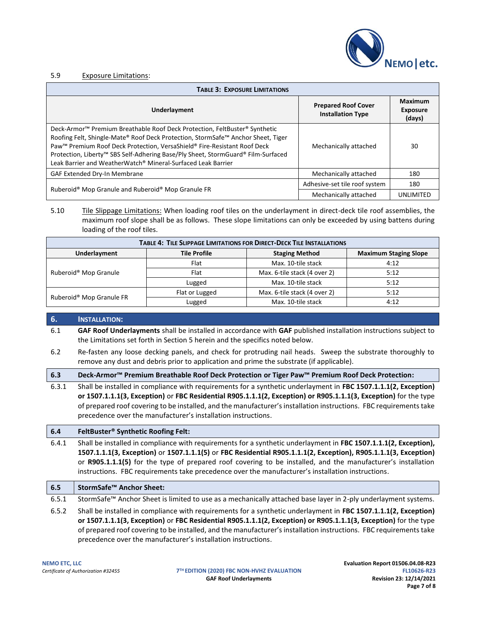

#### 5.9 Exposure Limitations:

| <b>TABLE 3: EXPOSURE LIMITATIONS</b>                                                                                                                                                                                                                                                                                                                                                                                   |                                                        |                                      |  |  |
|------------------------------------------------------------------------------------------------------------------------------------------------------------------------------------------------------------------------------------------------------------------------------------------------------------------------------------------------------------------------------------------------------------------------|--------------------------------------------------------|--------------------------------------|--|--|
| Underlayment                                                                                                                                                                                                                                                                                                                                                                                                           | <b>Prepared Roof Cover</b><br><b>Installation Type</b> | Maximum<br><b>Exposure</b><br>(days) |  |  |
| Deck-Armor <sup>™</sup> Premium Breathable Roof Deck Protection, FeltBuster® Synthetic<br>Roofing Felt, Shingle-Mate® Roof Deck Protection, StormSafe™ Anchor Sheet, Tiger<br>Paw <sup>™</sup> Premium Roof Deck Protection, VersaShield® Fire-Resistant Roof Deck<br>Protection, Liberty™ SBS Self-Adhering Base/Ply Sheet, StormGuard® Film-Surfaced<br>Leak Barrier and WeatherWatch® Mineral-Surfaced Leak Barrier | Mechanically attached                                  | 30                                   |  |  |
| GAF Extended Dry-In Membrane                                                                                                                                                                                                                                                                                                                                                                                           | Mechanically attached                                  | 180                                  |  |  |
| Ruberoid® Mop Granule and Ruberoid® Mop Granule FR                                                                                                                                                                                                                                                                                                                                                                     | Adhesive-set tile roof system                          | 180                                  |  |  |
|                                                                                                                                                                                                                                                                                                                                                                                                                        | Mechanically attached                                  | UNLIMITED                            |  |  |

5.10 Tile Slippage Limitations: When loading roof tiles on the underlayment in direct-deck tile roof assemblies, the maximum roof slope shall be as follows. These slope limitations can only be exceeded by using battens during loading of the roof tiles.

| <b>TABLE 4: TILE SLIPPAGE LIMITATIONS FOR DIRECT-DECK TILE INSTALLATIONS</b>                        |                |                              |      |  |  |  |
|-----------------------------------------------------------------------------------------------------|----------------|------------------------------|------|--|--|--|
| <b>Tile Profile</b><br><b>Underlayment</b><br><b>Staging Method</b><br><b>Maximum Staging Slope</b> |                |                              |      |  |  |  |
|                                                                                                     | Flat           | Max. 10-tile stack           | 4:12 |  |  |  |
| Ruberoid <sup>®</sup> Mop Granule                                                                   | Flat           | Max. 6-tile stack (4 over 2) | 5:12 |  |  |  |
|                                                                                                     | Lugged         | Max. 10-tile stack           | 5:12 |  |  |  |
|                                                                                                     | Flat or Lugged | Max. 6-tile stack (4 over 2) | 5:12 |  |  |  |
| Ruberoid <sup>®</sup> Mop Granule FR                                                                | Lugged         | Max. 10-tile stack           | 4:12 |  |  |  |

#### **6. INSTALLATION:**

6.1 **GAF Roof Underlayments** shall be installed in accordance with **GAF** published installation instructions subject to the Limitations set forth in Section 5 herein and the specifics noted below.

- 6.2 Re-fasten any loose decking panels, and check for protruding nail heads. Sweep the substrate thoroughly to remove any dust and debris prior to application and prime the substrate (if applicable).
- **6.3 Deck-Armor™ Premium Breathable Roof Deck Protection or Tiger Paw™ Premium Roof Deck Protection:**
- 6.3.1 Shall be installed in compliance with requirements for a synthetic underlayment in **FBC 1507.1.1.1(2, Exception) or 1507.1.1.1(3, Exception)** or **FBC Residential R905.1.1.1(2, Exception) or R905.1.1.1(3, Exception)** for the type of prepared roof covering to be installed, and the manufacturer's installation instructions. FBC requirements take precedence over the manufacturer's installation instructions.

#### **6.4 FeltBuster® Synthetic Roofing Felt:**

6.4.1 Shall be installed in compliance with requirements for a synthetic underlayment in **FBC 1507.1.1.1(2, Exception), 1507.1.1.1(3, Exception)** or **1507.1.1.1(5)** or **FBC Residential R905.1.1.1(2, Exception), R905.1.1.1(3, Exception)** or **R905.1.1.1(5)** for the type of prepared roof covering to be installed, and the manufacturer's installation instructions. FBC requirements take precedence over the manufacturer's installation instructions.

| 6.5   | StormSafe <sup>™</sup> Anchor Sheet:                                                                                                                                                                                                                                                                                                                                                                                       |
|-------|----------------------------------------------------------------------------------------------------------------------------------------------------------------------------------------------------------------------------------------------------------------------------------------------------------------------------------------------------------------------------------------------------------------------------|
| 6.5.1 | StormSafe™ Anchor Sheet is limited to use as a mechanically attached base layer in 2-ply underlayment systems.                                                                                                                                                                                                                                                                                                             |
| 6.5.2 | Shall be installed in compliance with requirements for a synthetic underlayment in FBC 1507.1.1.1(2, Exception)<br>or 1507.1.1.1(3, Exception) or FBC Residential R905.1.1.1(2, Exception) or R905.1.1.1(3, Exception) for the type<br>of prepared roof covering to be installed, and the manufacturer's installation instructions. FBC requirements take<br>precedence over the manufacturer's installation instructions. |